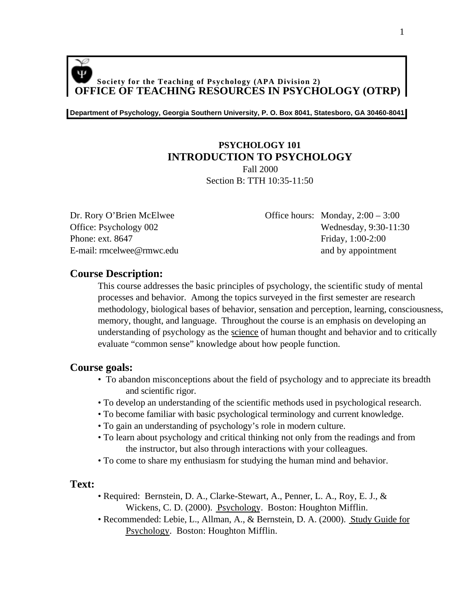**Society for the Teaching of Psychology (APA Division 2) OFFICE OF TEACHING RESOURCES IN PSYCHOLOGY (OTRP)**

**Department of Psychology, Georgia Southern University, P. O. Box 8041, Statesboro, GA 30460-8041**

# **PSYCHOLOGY 101 INTRODUCTION TO PSYCHOLOGY**

Fall 2000 Section B: TTH 10:35-11:50

Dr. Rory O'Brien McElwee Office hours: Monday, 2:00 – 3:00 Office: Psychology 002 Wednesday, 9:30-11:30 Phone: ext. 8647 Friday, 1:00-2:00 E-mail: rmcelwee@rmwc.edu and by appointment

## **Course Description:**

This course addresses the basic principles of psychology, the scientific study of mental processes and behavior. Among the topics surveyed in the first semester are research methodology, biological bases of behavior, sensation and perception, learning, consciousness, memory, thought, and language. Throughout the course is an emphasis on developing an understanding of psychology as the science of human thought and behavior and to critically evaluate "common sense" knowledge about how people function.

## **Course goals:**

- To abandon misconceptions about the field of psychology and to appreciate its breadth and scientific rigor.
- To develop an understanding of the scientific methods used in psychological research.
- To become familiar with basic psychological terminology and current knowledge.
- To gain an understanding of psychology's role in modern culture.
- To learn about psychology and critical thinking not only from the readings and from the instructor, but also through interactions with your colleagues.
- To come to share my enthusiasm for studying the human mind and behavior.

## **Text:**

- Required: Bernstein, D. A., Clarke-Stewart, A., Penner, L. A., Roy, E. J., & Wickens, C. D. (2000). Psychology. Boston: Houghton Mifflin.
- Recommended: Lebie, L., Allman, A., & Bernstein, D. A. (2000). Study Guide for Psychology. Boston: Houghton Mifflin.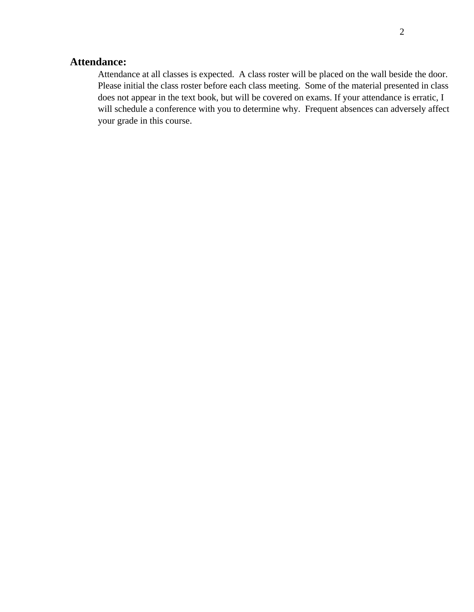# **Attendance:**

Attendance at all classes is expected. A class roster will be placed on the wall beside the door. Please initial the class roster before each class meeting. Some of the material presented in class does not appear in the text book, but will be covered on exams. If your attendance is erratic, I will schedule a conference with you to determine why. Frequent absences can adversely affect your grade in this course.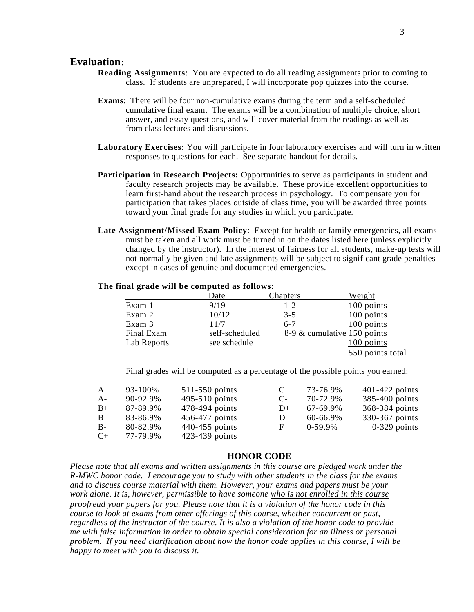### **Evaluation:**

- **Reading Assignments**: You are expected to do all reading assignments prior to coming to class. If students are unprepared, I will incorporate pop quizzes into the course.
- **Exams**: There will be four non-cumulative exams during the term and a self-scheduled cumulative final exam. The exams will be a combination of multiple choice, short answer, and essay questions, and will cover material from the readings as well as from class lectures and discussions.
- **Laboratory Exercises:** You will participate in four laboratory exercises and will turn in written responses to questions for each. See separate handout for details.
- **Participation in Research Projects:** Opportunities to serve as participants in student and faculty research projects may be available. These provide excellent opportunities to learn first-hand about the research process in psychology. To compensate you for participation that takes places outside of class time, you will be awarded three points toward your final grade for any studies in which you participate.
- **Late Assignment/Missed Exam Policy**: Except for health or family emergencies, all exams must be taken and all work must be turned in on the dates listed here (unless explicitly changed by the instructor). In the interest of fairness for all students, make-up tests will not normally be given and late assignments will be subject to significant grade penalties except in cases of genuine and documented emergencies.

#### **The final grade will be computed as follows:**

|             | Date           | Chapters                    | Weight           |
|-------------|----------------|-----------------------------|------------------|
| Exam 1      | 9/19           | $1 - 2$                     | 100 points       |
| Exam 2      | 10/12          | $3 - 5$                     | 100 points       |
| Exam 3      | 11/7           | $6 - 7$                     | 100 points       |
| Final Exam  | self-scheduled | 8-9 & cumulative 150 points |                  |
| Lab Reports | see schedule   |                             | $100$ points     |
|             |                |                             | 550 points total |

Final grades will be computed as a percentage of the possible points you earned:

| $\mathsf{A}$ | 93-100%  | $511-550$ points | C.   | 73-76.9%   | $401-422$ points |
|--------------|----------|------------------|------|------------|------------------|
| $A-$         | 90-92.9% | 495-510 points   | $C-$ | 70-72.9%   | 385-400 points   |
| $B+$         | 87-89.9% | 478-494 points   | $D+$ | 67-69.9%   | 368-384 points   |
| B.           | 83-86.9% | 456-477 points   | D    | 60-66.9%   | 330-367 points   |
| $B-$         | 80-82.9% | 440-455 points   | F    | $0-59.9\%$ | $0-329$ points   |
| $C_{\pm}$    | 77-79.9% | 423-439 points   |      |            |                  |

### **HONOR CODE**

*Please note that all exams and written assignments in this course are pledged work under the R-MWC honor code. I encourage you to study with other students in the class for the exams and to discuss course material with them. However, your exams and papers must be your work alone. It is, however, permissible to have someone who is not enrolled in this course proofread your papers for you. Please note that it is a violation of the honor code in this course to look at exams from other offerings of this course, whether concurrent or past, regardless of the instructor of the course. It is also a violation of the honor code to provide me with false information in order to obtain special consideration for an illness or personal problem. If you need clarification about how the honor code applies in this course, I will be happy to meet with you to discuss it.*